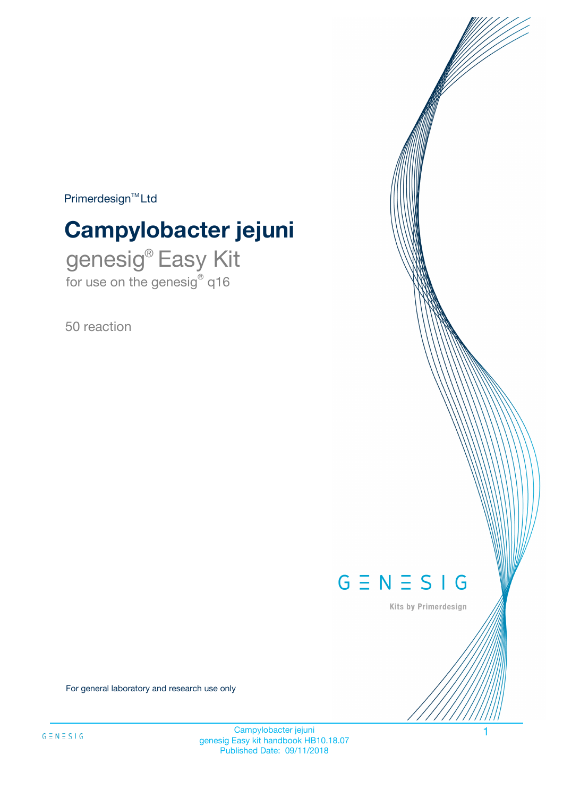$Primerdesign^{\text{TM}}Ltd$ 

# **Campylobacter jejuni**

genesig® Easy Kit for use on the genesig® q16

50 reaction



Kits by Primerdesign

For general laboratory and research use only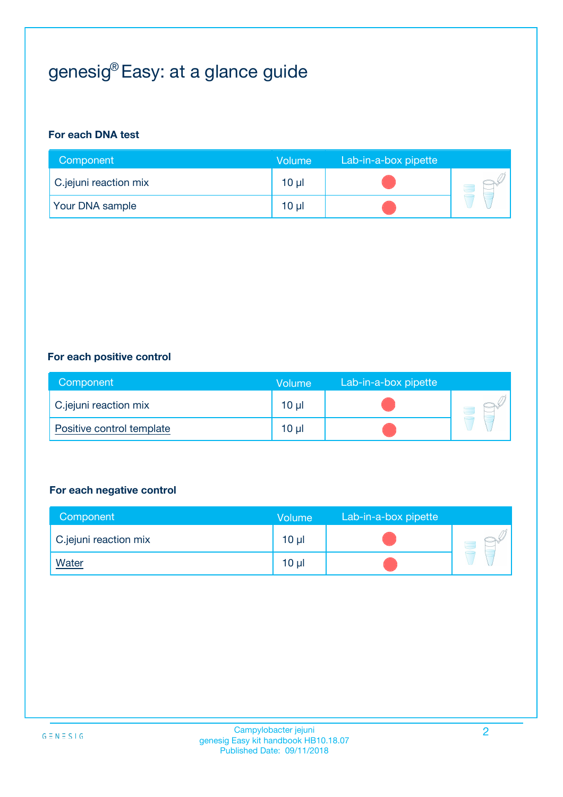## genesig® Easy: at a glance guide

#### **For each DNA test**

| Component              | <b>Volume</b> | Lab-in-a-box pipette |  |
|------------------------|---------------|----------------------|--|
| C.jejuni reaction mix  | 10 µl         |                      |  |
| <b>Your DNA sample</b> | $10 \mu$      |                      |  |

#### **For each positive control**

| Component                 | Volume   | Lab-in-a-box pipette |  |
|---------------------------|----------|----------------------|--|
| C.jejuni reaction mix     | $10 \mu$ |                      |  |
| Positive control template | $10 \mu$ |                      |  |

#### **For each negative control**

| Component             | <b>Volume</b>   | Lab-in-a-box pipette |  |
|-----------------------|-----------------|----------------------|--|
| C.jejuni reaction mix | 10 <sub>µ</sub> |                      |  |
| <u>Water</u>          | 10 <sub>µ</sub> |                      |  |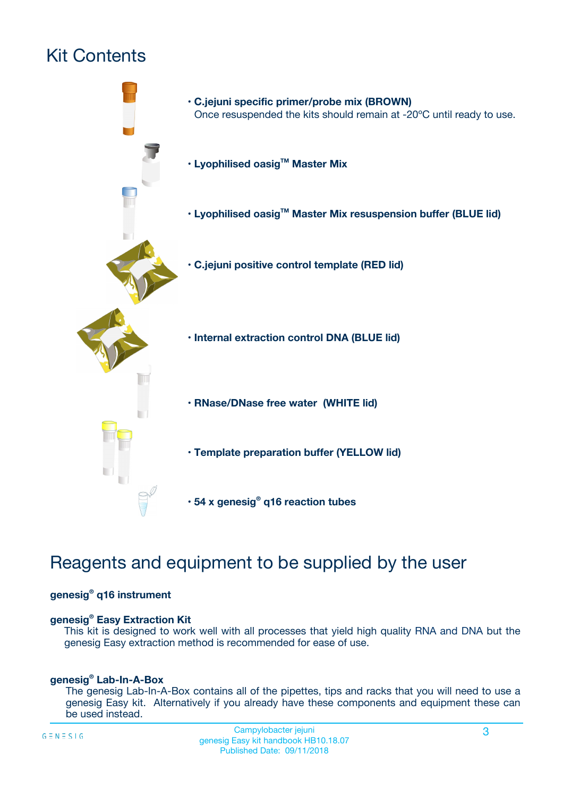## Kit Contents



### Reagents and equipment to be supplied by the user

#### **genesig® q16 instrument**

#### **genesig® Easy Extraction Kit**

This kit is designed to work well with all processes that yield high quality RNA and DNA but the genesig Easy extraction method is recommended for ease of use.

#### **genesig® Lab-In-A-Box**

The genesig Lab-In-A-Box contains all of the pipettes, tips and racks that you will need to use a genesig Easy kit. Alternatively if you already have these components and equipment these can be used instead.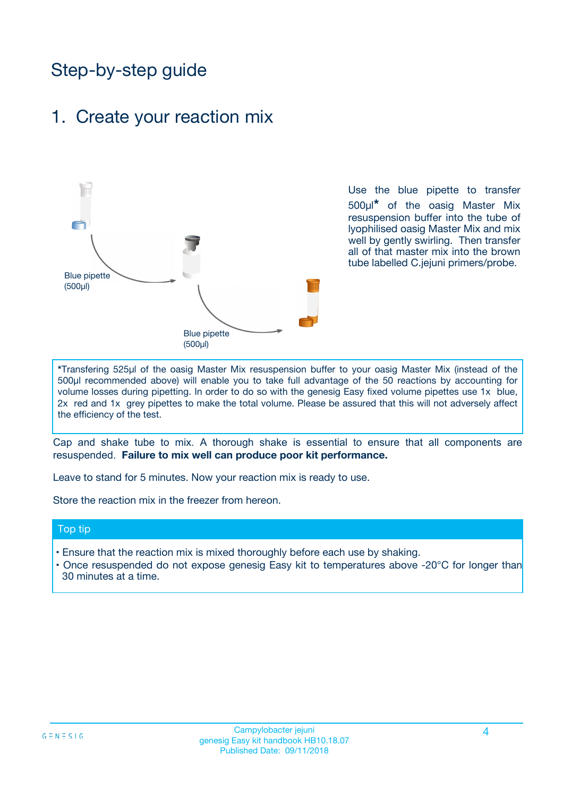### Step-by-step guide

### 1. Create your reaction mix



Use the blue pipette to transfer 500µl**\*** of the oasig Master Mix resuspension buffer into the tube of lyophilised oasig Master Mix and mix well by gently swirling. Then transfer all of that master mix into the brown tube labelled C.jejuni primers/probe.

**\***Transfering 525µl of the oasig Master Mix resuspension buffer to your oasig Master Mix (instead of the 500µl recommended above) will enable you to take full advantage of the 50 reactions by accounting for volume losses during pipetting. In order to do so with the genesig Easy fixed volume pipettes use 1x blue, 2x red and 1x grey pipettes to make the total volume. Please be assured that this will not adversely affect the efficiency of the test.

Cap and shake tube to mix. A thorough shake is essential to ensure that all components are resuspended. **Failure to mix well can produce poor kit performance.**

Leave to stand for 5 minutes. Now your reaction mix is ready to use.

Store the reaction mix in the freezer from hereon.

#### Top tip

- Ensure that the reaction mix is mixed thoroughly before each use by shaking.
- **•** Once resuspended do not expose genesig Easy kit to temperatures above -20°C for longer than 30 minutes at a time.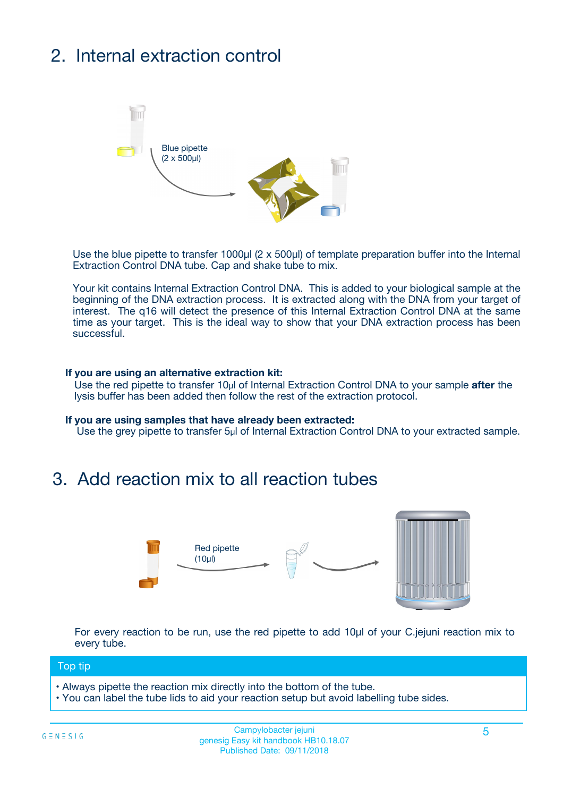## 2. Internal extraction control



Use the blue pipette to transfer 1000µl (2 x 500µl) of template preparation buffer into the Internal Extraction Control DNA tube. Cap and shake tube to mix.

Your kit contains Internal Extraction Control DNA. This is added to your biological sample at the beginning of the DNA extraction process. It is extracted along with the DNA from your target of interest. The q16 will detect the presence of this Internal Extraction Control DNA at the same time as your target. This is the ideal way to show that your DNA extraction process has been **successful.** 

#### **If you are using an alternative extraction kit:**

Use the red pipette to transfer 10µl of Internal Extraction Control DNA to your sample **after** the lysis buffer has been added then follow the rest of the extraction protocol.

#### **If you are using samples that have already been extracted:**

Use the grey pipette to transfer 5µl of Internal Extraction Control DNA to your extracted sample.

### 3. Add reaction mix to all reaction tubes



For every reaction to be run, use the red pipette to add 10µl of your C.jejuni reaction mix to every tube.

#### Top tip

- Always pipette the reaction mix directly into the bottom of the tube.
- You can label the tube lids to aid your reaction setup but avoid labelling tube sides.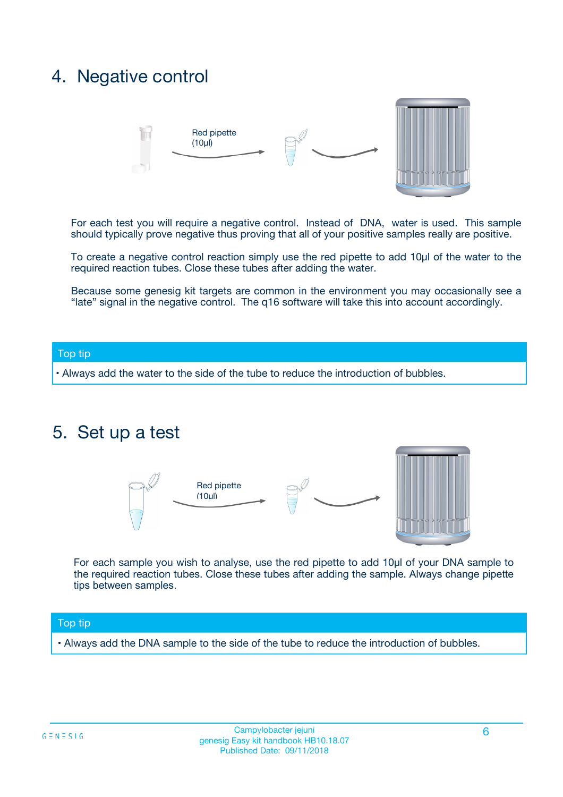### 4. Negative control



For each test you will require a negative control. Instead of DNA, water is used. This sample should typically prove negative thus proving that all of your positive samples really are positive.

To create a negative control reaction simply use the red pipette to add 10µl of the water to the required reaction tubes. Close these tubes after adding the water.

Because some genesig kit targets are common in the environment you may occasionally see a "late" signal in the negative control. The q16 software will take this into account accordingly.

#### Top tip

**•** Always add the water to the side of the tube to reduce the introduction of bubbles.

### 5. Set up a test



For each sample you wish to analyse, use the red pipette to add 10µl of your DNA sample to the required reaction tubes. Close these tubes after adding the sample. Always change pipette tips between samples.

#### Top tip

**•** Always add the DNA sample to the side of the tube to reduce the introduction of bubbles.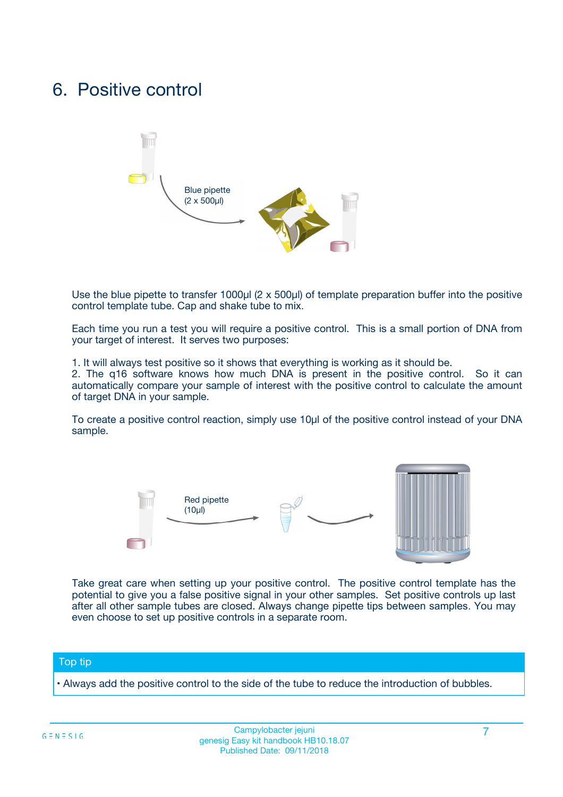### 6. Positive control



Use the blue pipette to transfer 1000µl (2 x 500µl) of template preparation buffer into the positive control template tube. Cap and shake tube to mix.

Each time you run a test you will require a positive control. This is a small portion of DNA from your target of interest. It serves two purposes:

1. It will always test positive so it shows that everything is working as it should be.

2. The q16 software knows how much DNA is present in the positive control. So it can automatically compare your sample of interest with the positive control to calculate the amount of target DNA in your sample.

To create a positive control reaction, simply use 10µl of the positive control instead of your DNA sample.



Take great care when setting up your positive control. The positive control template has the potential to give you a false positive signal in your other samples. Set positive controls up last after all other sample tubes are closed. Always change pipette tips between samples. You may even choose to set up positive controls in a separate room.

#### Top tip

**•** Always add the positive control to the side of the tube to reduce the introduction of bubbles.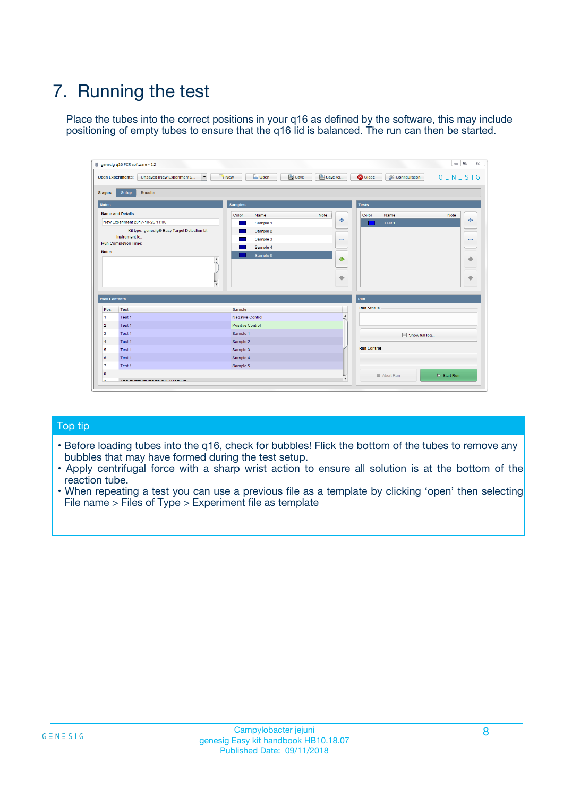## 7. Running the test

Place the tubes into the correct positions in your q16 as defined by the software, this may include positioning of empty tubes to ensure that the q16 lid is balanced. The run can then be started.

|                      | genesig q16 PCR software - 1.2                                               |                                |                              |                                          | $\begin{array}{c c c c} \hline \multicolumn{3}{c }{\textbf{0}} & \multicolumn{3}{c }{\textbf{0}} \end{array}$<br>$\Sigma\!3$ |
|----------------------|------------------------------------------------------------------------------|--------------------------------|------------------------------|------------------------------------------|------------------------------------------------------------------------------------------------------------------------------|
|                      | $\vert \cdot \vert$<br><b>Open Experiments:</b><br>Unsaved (New Experiment 2 | Open<br>Save<br>$\sqrt{9}$ New | Save As                      | <b>C</b> Close<br><b>X</b> Configuration | $G \equiv N \equiv S \mid G$                                                                                                 |
| <b>Stages:</b>       | Setup<br><b>Results</b>                                                      |                                |                              |                                          |                                                                                                                              |
| <b>Notes</b>         |                                                                              | <b>Samples</b>                 |                              | <b>Tests</b>                             |                                                                                                                              |
|                      | <b>Name and Details</b>                                                      | Color<br>Name                  | Note                         | Color<br>Name                            | Note                                                                                                                         |
|                      | New Experiment 2017-10-26 11:06                                              | Sample 1                       | ÷                            | Test 1                                   | ÷                                                                                                                            |
|                      | Kit type: genesig® Easy Target Detection kit                                 | Sample 2                       |                              |                                          |                                                                                                                              |
|                      | Instrument Id.:                                                              | Sample 3                       | $\qquad \qquad \blacksquare$ |                                          | $\qquad \qquad \blacksquare$                                                                                                 |
|                      | <b>Run Completion Time:</b>                                                  | Sample 4                       |                              |                                          |                                                                                                                              |
| <b>Notes</b>         | <b>A</b><br>v                                                                | Sample 5                       | $\triangle$<br>$\oplus$      |                                          | 4<br>₩                                                                                                                       |
| <b>Well Contents</b> |                                                                              |                                |                              | Run                                      |                                                                                                                              |
| Pos.                 | Test                                                                         | Sample                         |                              | <b>Run Status</b>                        |                                                                                                                              |
| $\overline{1}$       | Test 1                                                                       | <b>Negative Control</b>        | $\blacktriangle$             |                                          |                                                                                                                              |
| $\overline{2}$       | Test 1                                                                       | <b>Positive Control</b>        |                              |                                          |                                                                                                                              |
| 3                    | Test 1                                                                       | Sample 1                       |                              | Show full log                            |                                                                                                                              |
| $\overline{4}$       | Test 1                                                                       | Sample 2                       |                              |                                          |                                                                                                                              |
| 5                    | Test 1                                                                       | Sample 3                       |                              | <b>Run Control</b>                       |                                                                                                                              |
| 6                    | Test 1                                                                       | Sample 4                       |                              |                                          |                                                                                                                              |
| $\overline{7}$       | Test 1                                                                       | Sample 5                       |                              |                                          |                                                                                                                              |
| -8                   |                                                                              |                                |                              | Abort Run                                | $\triangleright$ Start Run                                                                                                   |
|                      | <b>JOB FURTY TURE TO BULLMAR LIB</b>                                         |                                | $\overline{\mathbf{v}}$      |                                          |                                                                                                                              |

#### Top tip

- Before loading tubes into the q16, check for bubbles! Flick the bottom of the tubes to remove any bubbles that may have formed during the test setup.
- Apply centrifugal force with a sharp wrist action to ensure all solution is at the bottom of the reaction tube.
- When repeating a test you can use a previous file as a template by clicking 'open' then selecting File name > Files of Type > Experiment file as template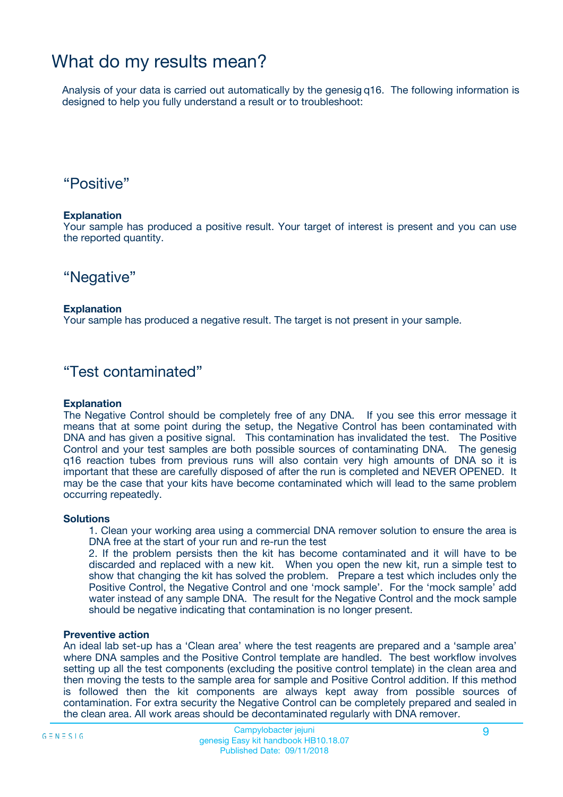### What do my results mean?

Analysis of your data is carried out automatically by the genesig q16. The following information is designed to help you fully understand a result or to troubleshoot:

### "Positive"

#### **Explanation**

Your sample has produced a positive result. Your target of interest is present and you can use the reported quantity.

"Negative"

#### **Explanation**

Your sample has produced a negative result. The target is not present in your sample.

### "Test contaminated"

#### **Explanation**

The Negative Control should be completely free of any DNA. If you see this error message it means that at some point during the setup, the Negative Control has been contaminated with DNA and has given a positive signal. This contamination has invalidated the test. The Positive Control and your test samples are both possible sources of contaminating DNA. The genesig q16 reaction tubes from previous runs will also contain very high amounts of DNA so it is important that these are carefully disposed of after the run is completed and NEVER OPENED. It may be the case that your kits have become contaminated which will lead to the same problem occurring repeatedly.

#### **Solutions**

1. Clean your working area using a commercial DNA remover solution to ensure the area is DNA free at the start of your run and re-run the test

2. If the problem persists then the kit has become contaminated and it will have to be discarded and replaced with a new kit. When you open the new kit, run a simple test to show that changing the kit has solved the problem. Prepare a test which includes only the Positive Control, the Negative Control and one 'mock sample'. For the 'mock sample' add water instead of any sample DNA. The result for the Negative Control and the mock sample should be negative indicating that contamination is no longer present.

#### **Preventive action**

An ideal lab set-up has a 'Clean area' where the test reagents are prepared and a 'sample area' where DNA samples and the Positive Control template are handled. The best workflow involves setting up all the test components (excluding the positive control template) in the clean area and then moving the tests to the sample area for sample and Positive Control addition. If this method is followed then the kit components are always kept away from possible sources of contamination. For extra security the Negative Control can be completely prepared and sealed in the clean area. All work areas should be decontaminated regularly with DNA remover.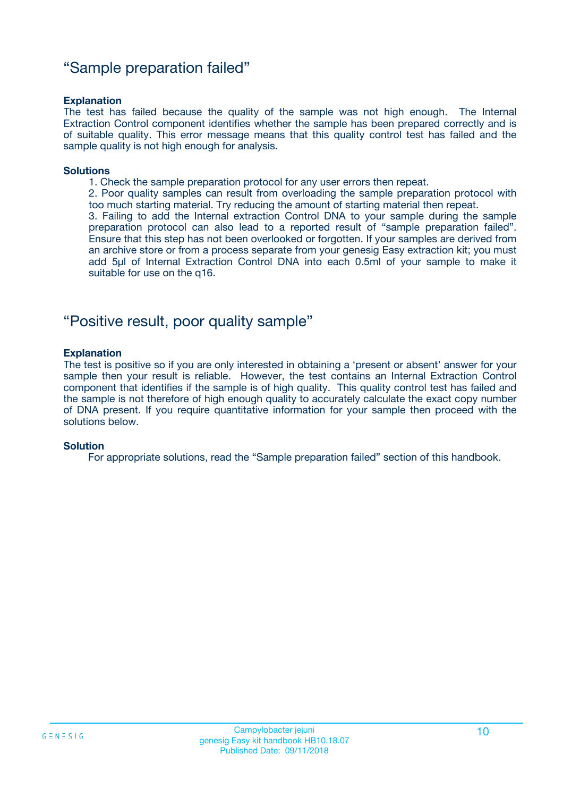### "Sample preparation failed"

#### **Explanation**

The test has failed because the quality of the sample was not high enough. The Internal Extraction Control component identifies whether the sample has been prepared correctly and is of suitable quality. This error message means that this quality control test has failed and the sample quality is not high enough for analysis.

#### **Solutions**

1. Check the sample preparation protocol for any user errors then repeat.

2. Poor quality samples can result from overloading the sample preparation protocol with too much starting material. Try reducing the amount of starting material then repeat.

3. Failing to add the Internal extraction Control DNA to your sample during the sample preparation protocol can also lead to a reported result of "sample preparation failed". Ensure that this step has not been overlooked or forgotten. If your samples are derived from an archive store or from a process separate from your genesig Easy extraction kit; you must add 5µl of Internal Extraction Control DNA into each 0.5ml of your sample to make it suitable for use on the q16.

### "Positive result, poor quality sample"

#### **Explanation**

The test is positive so if you are only interested in obtaining a 'present or absent' answer for your sample then your result is reliable. However, the test contains an Internal Extraction Control component that identifies if the sample is of high quality. This quality control test has failed and the sample is not therefore of high enough quality to accurately calculate the exact copy number of DNA present. If you require quantitative information for your sample then proceed with the solutions below.

#### **Solution**

For appropriate solutions, read the "Sample preparation failed" section of this handbook.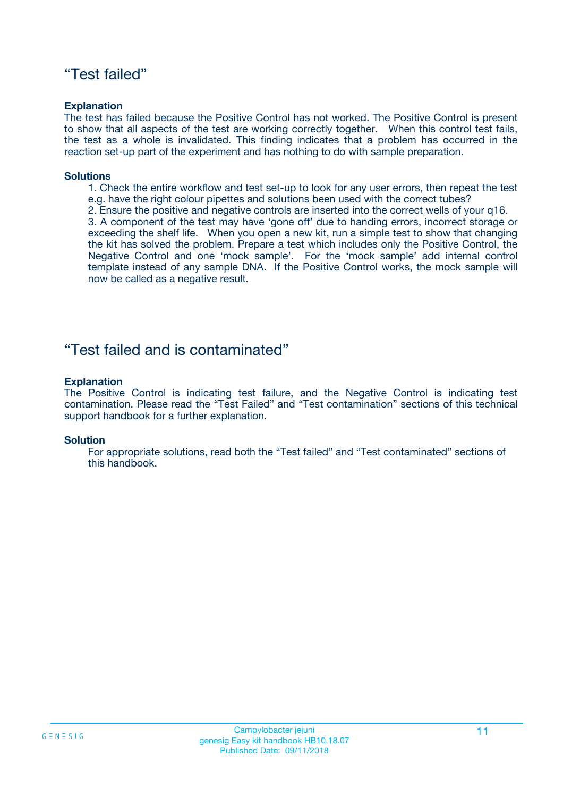### "Test failed"

#### **Explanation**

The test has failed because the Positive Control has not worked. The Positive Control is present to show that all aspects of the test are working correctly together. When this control test fails, the test as a whole is invalidated. This finding indicates that a problem has occurred in the reaction set-up part of the experiment and has nothing to do with sample preparation.

#### **Solutions**

- 1. Check the entire workflow and test set-up to look for any user errors, then repeat the test e.g. have the right colour pipettes and solutions been used with the correct tubes?
- 2. Ensure the positive and negative controls are inserted into the correct wells of your q16.

3. A component of the test may have 'gone off' due to handing errors, incorrect storage or exceeding the shelf life. When you open a new kit, run a simple test to show that changing the kit has solved the problem. Prepare a test which includes only the Positive Control, the Negative Control and one 'mock sample'. For the 'mock sample' add internal control template instead of any sample DNA. If the Positive Control works, the mock sample will now be called as a negative result.

### "Test failed and is contaminated"

#### **Explanation**

The Positive Control is indicating test failure, and the Negative Control is indicating test contamination. Please read the "Test Failed" and "Test contamination" sections of this technical support handbook for a further explanation.

#### **Solution**

For appropriate solutions, read both the "Test failed" and "Test contaminated" sections of this handbook.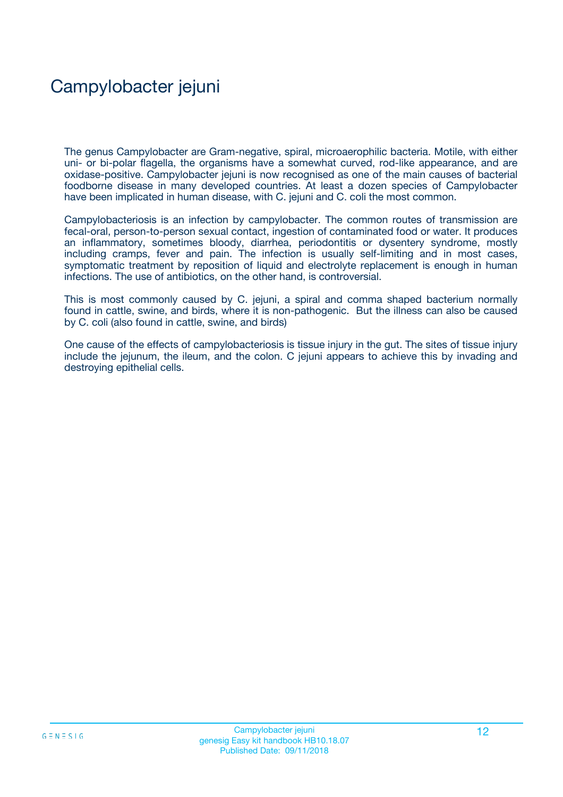## Campylobacter jejuni

The genus Campylobacter are Gram-negative, spiral, microaerophilic bacteria. Motile, with either uni- or bi-polar flagella, the organisms have a somewhat curved, rod-like appearance, and are oxidase-positive. Campylobacter jejuni is now recognised as one of the main causes of bacterial foodborne disease in many developed countries. At least a dozen species of Campylobacter have been implicated in human disease, with C. jejuni and C. coli the most common.

Campylobacteriosis is an infection by campylobacter. The common routes of transmission are fecal-oral, person-to-person sexual contact, ingestion of contaminated food or water. It produces an inflammatory, sometimes bloody, diarrhea, periodontitis or dysentery syndrome, mostly including cramps, fever and pain. The infection is usually self-limiting and in most cases, symptomatic treatment by reposition of liquid and electrolyte replacement is enough in human infections. The use of antibiotics, on the other hand, is controversial.

This is most commonly caused by C. jejuni, a spiral and comma shaped bacterium normally found in cattle, swine, and birds, where it is non-pathogenic. But the illness can also be caused by C. coli (also found in cattle, swine, and birds)

One cause of the effects of campylobacteriosis is tissue injury in the gut. The sites of tissue injury include the jejunum, the ileum, and the colon. C jejuni appears to achieve this by invading and destroying epithelial cells.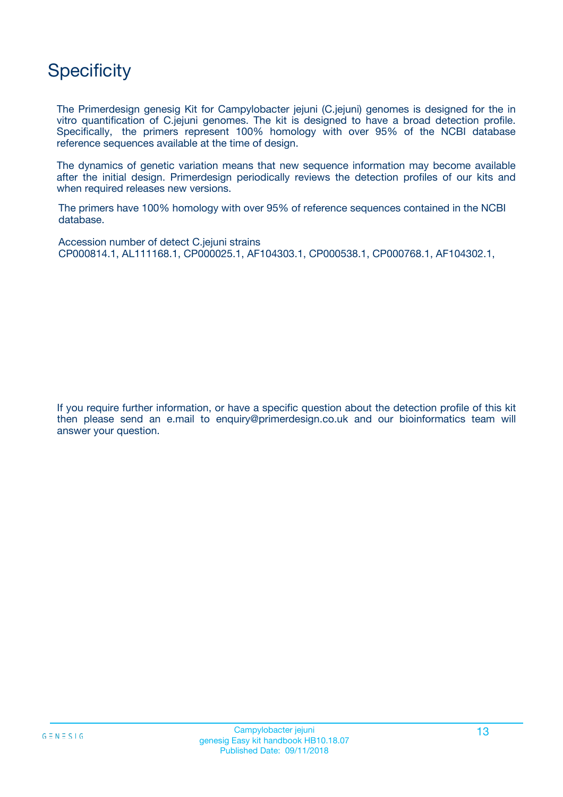### **Specificity**

The Primerdesign genesig Kit for Campylobacter jejuni (C.jejuni) genomes is designed for the in vitro quantification of C.jejuni genomes. The kit is designed to have a broad detection profile. Specifically, the primers represent 100% homology with over 95% of the NCBI database reference sequences available at the time of design.

The dynamics of genetic variation means that new sequence information may become available after the initial design. Primerdesign periodically reviews the detection profiles of our kits and when required releases new versions.

The primers have 100% homology with over 95% of reference sequences contained in the NCBI database.

Accession number of detect C.jejuni strains CP000814.1, AL111168.1, CP000025.1, AF104303.1, CP000538.1, CP000768.1, AF104302.1,

If you require further information, or have a specific question about the detection profile of this kit then please send an e.mail to enquiry@primerdesign.co.uk and our bioinformatics team will answer your question.